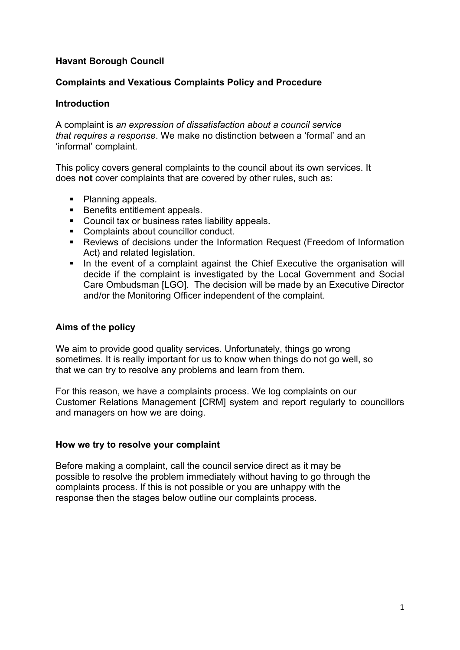# **Havant Borough Council**

### **Complaints and Vexatious Complaints Policy and Procedure**

### **Introduction**

A complaint is *an expression of dissatisfaction about a council service that requires a response*. We make no distinction between a 'formal' and an 'informal' complaint.

This policy covers general complaints to the council about its own services. It does **not** cover complaints that are covered by other rules, such as:

- Planning appeals.
- **Benefits entitlement appeals.**
- **Council tax or business rates liability appeals.**
- Complaints about councillor conduct.
- Reviews of decisions under the Information Request (Freedom of Information Act) and related legislation.
- In the event of a complaint against the Chief Executive the organisation will decide if the complaint is investigated by the Local Government and Social Care Ombudsman [LGO]. The decision will be made by an Executive Director and/or the Monitoring Officer independent of the complaint.

## **Aims of the policy**

We aim to provide good quality services. Unfortunately, things go wrong sometimes. It is really important for us to know when things do not go well, so that we can try to resolve any problems and learn from them.

For this reason, we have a complaints process. We log complaints on our Customer Relations Management [CRM] system and report regularly to councillors and managers on how we are doing.

#### **How we try to resolve your complaint**

Before making a complaint, call the council service direct as it may be possible to resolve the problem immediately without having to go through the complaints process. If this is not possible or you are unhappy with the response then the stages below outline our complaints process.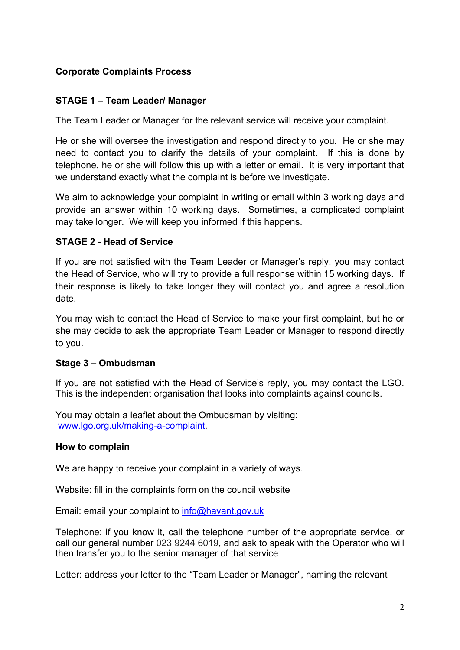# **Corporate Complaints Process**

## **STAGE 1 – Team Leader/ Manager**

The Team Leader or Manager for the relevant service will receive your complaint.

He or she will oversee the investigation and respond directly to you. He or she may need to contact you to clarify the details of your complaint. If this is done by telephone, he or she will follow this up with a letter or email. It is very important that we understand exactly what the complaint is before we investigate.

We aim to acknowledge your complaint in writing or email within 3 working days and provide an answer within 10 working days. Sometimes, a complicated complaint may take longer. We will keep you informed if this happens.

### **STAGE 2 - Head of Service**

If you are not satisfied with the Team Leader or Manager's reply, you may contact the Head of Service, who will try to provide a full response within 15 working days. If their response is likely to take longer they will contact you and agree a resolution date.

You may wish to contact the Head of Service to make your first complaint, but he or she may decide to ask the appropriate Team Leader or Manager to respond directly to you.

#### **Stage 3 – Ombudsman**

If you are not satisfied with the Head of Service's reply, you may contact the LGO. This is the independent organisation that looks into complaints against councils.

You may obtain a leaflet about the Ombudsman by visiting: [www.lgo.org.uk/making-a-complaint](http://www.lgo.org.uk/making-a-complaint).

#### **How to complain**

We are happy to receive your complaint in a variety of ways.

Website: fill in the complaints form on the council website

Email: email your complaint to [info@havant.gov.uk](mailto:info@havant.gov.uk)

Telephone: if you know it, call the telephone number of the appropriate service, or call our general number 023 9244 6019, and ask to speak with the Operator who will then transfer you to the senior manager of that service

Letter: address your letter to the "Team Leader or Manager", naming the relevant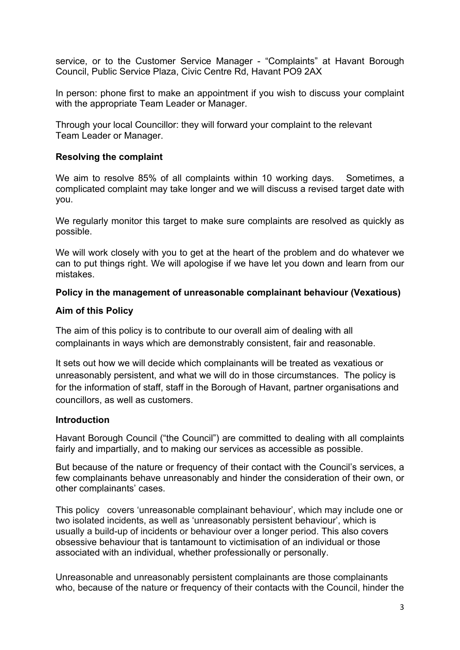service, or to the Customer Service Manager - "Complaints" at Havant Borough Council, Public Service Plaza, Civic Centre Rd, Havant PO9 2AX

In person: phone first to make an appointment if you wish to discuss your complaint with the appropriate Team Leader or Manager.

Through your local Councillor: they will forward your complaint to the relevant Team Leader or Manager.

## **Resolving the complaint**

We aim to resolve 85% of all complaints within 10 working days. Sometimes, a complicated complaint may take longer and we will discuss a revised target date with you.

We regularly monitor this target to make sure complaints are resolved as quickly as possible.

We will work closely with you to get at the heart of the problem and do whatever we can to put things right. We will apologise if we have let you down and learn from our mistakes.

### **Policy in the management of unreasonable complainant behaviour (Vexatious)**

### **Aim of this Policy**

The aim of this policy is to contribute to our overall aim of dealing with all complainants in ways which are demonstrably consistent, fair and reasonable.

It sets out how we will decide which complainants will be treated as vexatious or unreasonably persistent, and what we will do in those circumstances. The policy is for the information of staff, staff in the Borough of Havant, partner organisations and councillors, as well as customers.

#### **Introduction**

Havant Borough Council ("the Council") are committed to dealing with all complaints fairly and impartially, and to making our services as accessible as possible.

But because of the nature or frequency of their contact with the Council's services, a few complainants behave unreasonably and hinder the consideration of their own, or other complainants' cases.

This policy covers 'unreasonable complainant behaviour', which may include one or two isolated incidents, as well as 'unreasonably persistent behaviour', which is usually a build-up of incidents or behaviour over a longer period. This also covers obsessive behaviour that is tantamount to victimisation of an individual or those associated with an individual, whether professionally or personally.

Unreasonable and unreasonably persistent complainants are those complainants who, because of the nature or frequency of their contacts with the Council, hinder the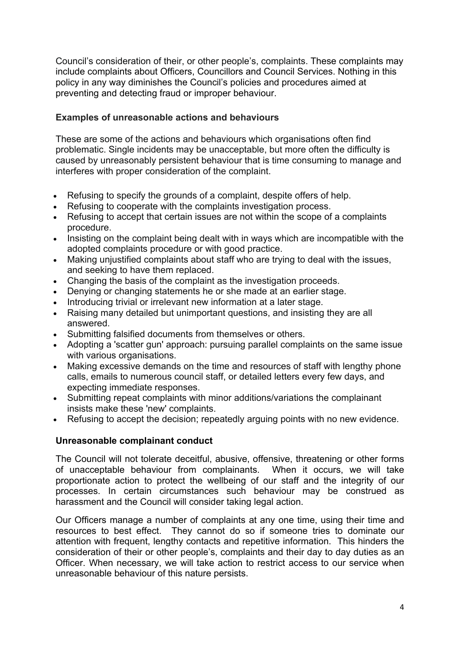Council's consideration of their, or other people's, complaints. These complaints may include complaints about Officers, Councillors and Council Services. Nothing in this policy in any way diminishes the Council's policies and procedures aimed at preventing and detecting fraud or improper behaviour.

# **Examples of unreasonable actions and behaviours**

These are some of the actions and behaviours which organisations often find problematic. Single incidents may be unacceptable, but more often the difficulty is caused by unreasonably persistent behaviour that is time consuming to manage and interferes with proper consideration of the complaint.

- Refusing to specify the grounds of a complaint, despite offers of help.
- Refusing to cooperate with the complaints investigation process.
- Refusing to accept that certain issues are not within the scope of a complaints procedure.
- Insisting on the complaint being dealt with in ways which are incompatible with the adopted complaints procedure or with good practice.
- Making unjustified complaints about staff who are trying to deal with the issues, and seeking to have them replaced.
- Changing the basis of the complaint as the investigation proceeds.
- Denying or changing statements he or she made at an earlier stage.
- Introducing trivial or irrelevant new information at a later stage.
- Raising many detailed but unimportant questions, and insisting they are all answered.
- Submitting falsified documents from themselves or others.
- Adopting a 'scatter gun' approach: pursuing parallel complaints on the same issue with various organisations.
- Making excessive demands on the time and resources of staff with lengthy phone calls, emails to numerous council staff, or detailed letters every few days, and expecting immediate responses.
- Submitting repeat complaints with minor additions/variations the complainant insists make these 'new' complaints.
- Refusing to accept the decision; repeatedly arguing points with no new evidence.

#### **Unreasonable complainant conduct**

The Council will not tolerate deceitful, abusive, offensive, threatening or other forms of unacceptable behaviour from complainants. When it occurs, we will take proportionate action to protect the wellbeing of our staff and the integrity of our processes. In certain circumstances such behaviour may be construed as harassment and the Council will consider taking legal action.

Our Officers manage a number of complaints at any one time, using their time and resources to best effect. They cannot do so if someone tries to dominate our attention with frequent, lengthy contacts and repetitive information. This hinders the consideration of their or other people's, complaints and their day to day duties as an Officer. When necessary, we will take action to restrict access to our service when unreasonable behaviour of this nature persists.